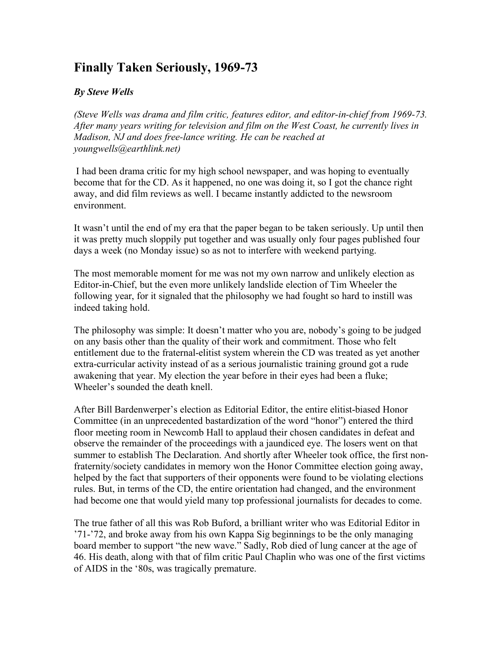## **Finally Taken Seriously, 1969-73**

## *By Steve Wells*

*(Steve Wells was drama and film critic, features editor, and editor-in-chief from 1969-73. After many years writing for television and film on the West Coast, he currently lives in Madison, NJ and does free-lance writing. He can be reached at youngwells@earthlink.net)*

I had been drama critic for my high school newspaper, and was hoping to eventually become that for the CD. As it happened, no one was doing it, so I got the chance right away, and did film reviews as well. I became instantly addicted to the newsroom environment.

It wasn't until the end of my era that the paper began to be taken seriously. Up until then it was pretty much sloppily put together and was usually only four pages published four days a week (no Monday issue) so as not to interfere with weekend partying.

The most memorable moment for me was not my own narrow and unlikely election as Editor-in-Chief, but the even more unlikely landslide election of Tim Wheeler the following year, for it signaled that the philosophy we had fought so hard to instill was indeed taking hold.

The philosophy was simple: It doesn't matter who you are, nobody's going to be judged on any basis other than the quality of their work and commitment. Those who felt entitlement due to the fraternal-elitist system wherein the CD was treated as yet another extra-curricular activity instead of as a serious journalistic training ground got a rude awakening that year. My election the year before in their eyes had been a fluke; Wheeler's sounded the death knell.

After Bill Bardenwerper's election as Editorial Editor, the entire elitist-biased Honor Committee (in an unprecedented bastardization of the word "honor") entered the third floor meeting room in Newcomb Hall to applaud their chosen candidates in defeat and observe the remainder of the proceedings with a jaundiced eye. The losers went on that summer to establish The Declaration. And shortly after Wheeler took office, the first nonfraternity/society candidates in memory won the Honor Committee election going away, helped by the fact that supporters of their opponents were found to be violating elections rules. But, in terms of the CD, the entire orientation had changed, and the environment had become one that would yield many top professional journalists for decades to come.

The true father of all this was Rob Buford, a brilliant writer who was Editorial Editor in '71-'72, and broke away from his own Kappa Sig beginnings to be the only managing board member to support "the new wave." Sadly, Rob died of lung cancer at the age of 46. His death, along with that of film critic Paul Chaplin who was one of the first victims of AIDS in the '80s, was tragically premature.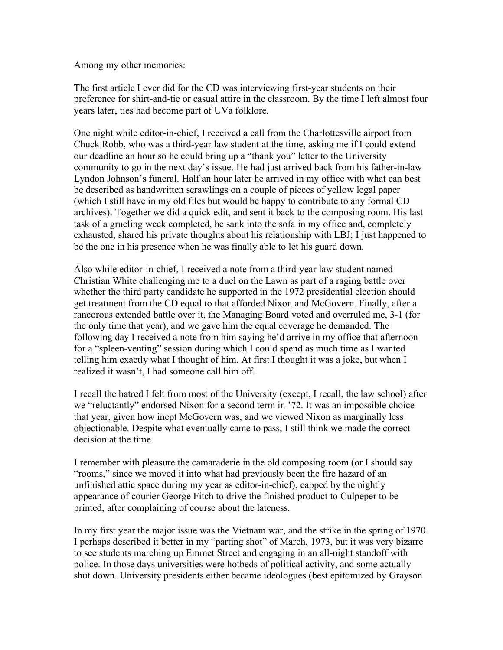Among my other memories:

The first article I ever did for the CD was interviewing first-year students on their preference for shirt-and-tie or casual attire in the classroom. By the time I left almost four years later, ties had become part of UVa folklore.

One night while editor-in-chief, I received a call from the Charlottesville airport from Chuck Robb, who was a third-year law student at the time, asking me if I could extend our deadline an hour so he could bring up a "thank you" letter to the University community to go in the next day's issue. He had just arrived back from his father-in-law Lyndon Johnson's funeral. Half an hour later he arrived in my office with what can best be described as handwritten scrawlings on a couple of pieces of yellow legal paper (which I still have in my old files but would be happy to contribute to any formal CD archives). Together we did a quick edit, and sent it back to the composing room. His last task of a grueling week completed, he sank into the sofa in my office and, completely exhausted, shared his private thoughts about his relationship with LBJ; I just happened to be the one in his presence when he was finally able to let his guard down.

Also while editor-in-chief, I received a note from a third-year law student named Christian White challenging me to a duel on the Lawn as part of a raging battle over whether the third party candidate he supported in the 1972 presidential election should get treatment from the CD equal to that afforded Nixon and McGovern. Finally, after a rancorous extended battle over it, the Managing Board voted and overruled me, 3-1 (for the only time that year), and we gave him the equal coverage he demanded. The following day I received a note from him saying he'd arrive in my office that afternoon for a "spleen-venting" session during which I could spend as much time as I wanted telling him exactly what I thought of him. At first I thought it was a joke, but when I realized it wasn't, I had someone call him off.

I recall the hatred I felt from most of the University (except, I recall, the law school) after we "reluctantly" endorsed Nixon for a second term in '72. It was an impossible choice that year, given how inept McGovern was, and we viewed Nixon as marginally less objectionable. Despite what eventually came to pass, I still think we made the correct decision at the time.

I remember with pleasure the camaraderie in the old composing room (or I should say "rooms," since we moved it into what had previously been the fire hazard of an unfinished attic space during my year as editor-in-chief), capped by the nightly appearance of courier George Fitch to drive the finished product to Culpeper to be printed, after complaining of course about the lateness.

In my first year the major issue was the Vietnam war, and the strike in the spring of 1970. I perhaps described it better in my "parting shot" of March, 1973, but it was very bizarre to see students marching up Emmet Street and engaging in an all-night standoff with police. In those days universities were hotbeds of political activity, and some actually shut down. University presidents either became ideologues (best epitomized by Grayson